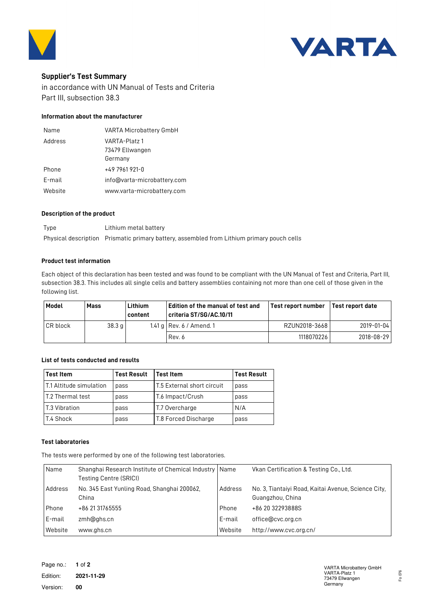



# **Supplier's Test Summary**

in accordance with UN Manual of Tests and Criteria Part III, subsection 38.3

## **Information about the manufacturer**

| Name    | <b>VARTA Microbattery GmbH</b> |  |
|---------|--------------------------------|--|
| Address | VARTA-Platz 1                  |  |
|         | 73479 Ellwangen                |  |
|         | Germany                        |  |
| Phone   | +49 7961 921-0                 |  |
| E-mail  | info@varta-microbattery.com    |  |
| Website | www.varta-microbattery.com     |  |

### **Description of the product**

Type Lithium metal battery Physical description Prismatic primary battery, assembled from Lithium primary pouch cells

### **Product test information**

Each object of this declaration has been tested and was found to be compliant with the UN Manual of Test and Criteria, Part III, subsection 38.3. This includes all single cells and battery assemblies containing not more than one cell of those given in the following list.

| Model           | Mass   | Lithium<br>content | Edition of the manual of test and<br>criteria ST/SG/AC.10/11 | Test report number | l Test report date |
|-----------------|--------|--------------------|--------------------------------------------------------------|--------------------|--------------------|
| <b>CR</b> block | 38.3 g |                    | 1.41 g   Rev. $6/$ Amend. 1                                  | RZUN2018-3668      | 2019-01-04         |
|                 |        |                    | Rev. 6                                                       | 1118070226         | 2018-08-29         |

### **List of tests conducted and results**

| <b>Test Item</b>                | <b>Test Result</b> | lTest Item                  | <b>Test Result</b> |
|---------------------------------|--------------------|-----------------------------|--------------------|
| <b>IT.1 Altitude simulation</b> | pass               | IT.5 External short circuit | pass               |
| l T.2 Thermal test              | pass               | T.6 Impact/Crush            | pass               |
| l T.3 Vibration                 | pass               | T.7 Overcharge              | N/A                |
| T.4 Shock                       | pass               | T.8 Forced Discharge        | pass               |

#### **Test laboratories**

The tests were performed by one of the following test laboratories.

| Name    | Shanghai Research Institute of Chemical Industry   Name<br>Testing Centre (SRICI) |         | Vkan Certification & Testing Co., Ltd.                                  |
|---------|-----------------------------------------------------------------------------------|---------|-------------------------------------------------------------------------|
| Address | No. 345 East Yunling Road, Shanghai 200062,<br>China                              | Address | No. 3, Tiantaiyi Road, Kaitai Avenue, Science City,<br>Guangzhou, China |
| Phone   | +86 21 31765555                                                                   | Phone   | +86 20 32293888S                                                        |
| E-mail  | zmh@ghs.cn                                                                        | E-mail  | office@cvc.org.cn                                                       |
| Website | www.ghs.cn                                                                        | Website | http://www.cvc.org.cn/                                                  |

Fo 076